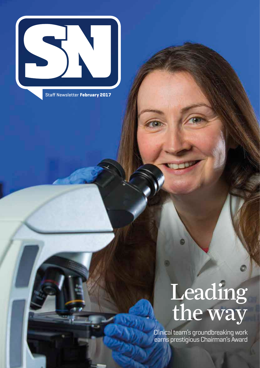

Staff Newsletter **February 2017**

# Leading the way

Clinical team's groundbreaking work earns prestigious Chairman's Award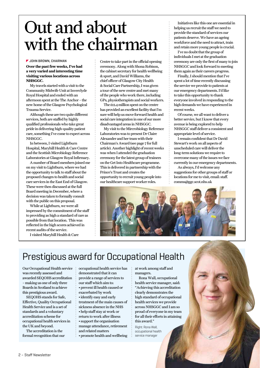## Out and about with the chairman

#### **JOHN BROWN, CHAIRMAN**

**Over the past few weeks, I've had a very varied and interesting time visiting various locations across NHSGGC.** 

My travels started with a visit to the Community Midwife Unit at Inverclyde Royal Hospital and ended with an afternoon spent at the The Anchor – the new home of the Glasgow Psychological Trauma Service.

Although these are two quite different services, both are staffed by highly qualified professionals who take great pride in delivering high-quality patient care, something I've come to expect across NHSGGC.

In between, I visited Lightburn Hospital, Maryhill Health & Care Centre and the Scottish Microbiology Reference Laboratories at Glasgow Royal Infirmary.

A number of Board members joined me on my visit to Lightburn, where we had the opportunity to talk to staff about the proposed changes to health and social care services in the East End of Glasgow. These were then discussed at the full Board meeting in December, where a decision was taken to formally consult with the public on this proposal.

While at Lightburn, we were all impressed by the commitment of the staff to providing as high a standard of care as possible from that location. This was reflected in the high scores achieved in recent audits of the service.

I visited Maryhill Health & Care

Centre to take part in the official opening ceremony. Along with Shona Robison, the cabinet secretary for health wellbeing & sport, and David Williams, the chief officer of Glasgow City Health & Social Care Partnership, I was given a tour of the new centre and met many of the people who work there, including GPs, physiotherapists and social workers.

The £12.4 million spent on the centre has provided an excellent facility that I'm sure will help us move forward health and social care integration in one of our more disadvantaged areas in NHSGGC.

My visit to the Mircrobiology Reference Laboratories was to present Dr Claire Alexander and her team with their Chairman's Award (see page 7 for full article). Another highlight of recent weeks was when I attended the graduation ceremony for the latest group of trainees on the Get Into Healthcare programme. This is delivered in partnership with the Prince's Trust and creates the opportunity to recruit young people into our healthcare support worker roles.

Initiatives like this one are essential in helping us recruit the staff we need to provide the standard of services our patients deserve. We have an ageing workforce and the need to attract, train and retain more young people is crucial.

I've no doubt that the group of individuals I met at the graduation ceremony are only the first of many to join NHSGGC and look forward to meeting them again as their careers progress.

Finally, I should mention that I've spent a lot of time recently discussing the service we provide to patients at our emergency departments. I'd like to take this opportunity to thank everyone involved in responding to the high demands we have experienced in recent weeks.

Of course, we all want to deliver a better service, but I know that every avenue is being explored to help NHSGGC staff deliver a consistent and appropriate level of service.

I remain confident that Dr David Stewart's work on all aspects of unscheduled care will deliver the long-term solutions we require to overcome many of the issues we face currently in our emergency departments.

As always, I'd welcome any suggestions for other groups of staff or locations for me to visit, email: staff. comms@ggc.scot.nhs.uk



### Prestigious award for Occupational Health

Our Occupational Health service was recently assessed and awarded SEQOHS accreditation – making us one of only three Boards in Scotland to achieve this prestigious award.

SEQOHS stands for Safe, Effective, Quality Occupational Health Service and is a set of standards and a voluntary accreditation scheme for occupational health services in the UK and beyond.

The accreditation is the formal recognition that our occupational health service has demonstrated that it can provide a range of services to our staff which aim to: • prevent ill health caused or exacerbated by work • identify easy and early treatment of the main causes of sickness absence in the NHS • help staff stay at work or return to work after illness • support the organisation manage attendance, retirement and related matters • promote health and wellbeing at work among staff and managers.

Rona Wall, occupational health service manager, said: "Achieving this accreditation clearly demonstrates the high standard of occupational health services we provide across NHSGGC and I am so proud of everyone in my team for all their efforts in attaining this award."

Right: Rona Wall, occupational health service manager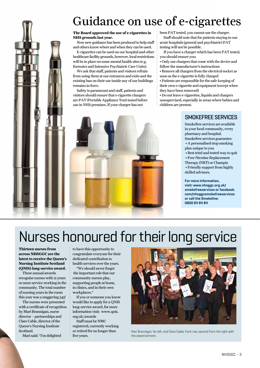### Guidance on use of e-cigarettes

#### **The Board approved the use of e-cigarettes in NHS grounds last year.**

Now new guidance has been produced to help staff and others know where and when they can be used.

E-cigarettes can be used on our hospital and other healthcare facility grounds, however, local restrictions will be in place on some mental health sites (e.g. forensics and Intensive Psychiatric Care Units).

We ask that staff, patients and visitors refrain from using them at our entrances and exits and the existing ban on their use inside any of our buildings remains in force.

Safety is paramount and staff, patients and visitors should ensure that e-cigarette chargers are PAT (Portable Appliance Test) tested before use in NHS premises.If your charger has not

been PAT tested, you cannot use the charger. Staff should note that for patients staying in our acute hospitals (general and psychiatric) PAT testing will not be possible.

If you have a charger which has been PAT tested, you should ensure you:

• Only use chargers that come with the device and follow the manufacturer's instructions

• Remove all chargers from the electrical socket as soon as the e-cigarette is fully charged

• Patients are responsible for the safe-keeping of their own e-cigarette and equipment (except when they have been removed)

• Do not leave e-cigarettes, liquids and chargers unsupervised, especially in areas where babies and children are present.

#### **SMOKEFREE SERVICES**

Smokefree services are available in your local community, every pharmacy and hospital.

Smokefree services guarantee: • A personalised stop smoking plan unique to you

- Best tried and tested way to quit
- Free Nicotine Replacement
- Therapy (NRT) or Champix
- Friendly support from highly skilled advisors.

#### **For more information,**

**visit: www.nhsggc.org.uk/ smokefreeservices or facebook. com/nhsggcsmokefreeservices or call the Smokeline: 0800 84 84 84**

## Nurses honoured for their long service

**Thirteen nurses from across NHSGGC are the latest to receive the Queen's Nursing Institute Scotland (QNIS) long-service award.** 

These annual awards recognise nurses with 21 years or more service working in the community. The total number of nursing years in the room this year was a staggering 343!

The nurses were presented with a certificate of recognition by Mari Brannigan, nurse director – partnerships and Clare Cable, director of the Queen's Nursing Institute Scotland.

Mari said: "I'm delighted

to have this opportunity to congratulate everyone for their dedicated contribution to health services over the years.

"We should never forget the important role that our community nurses play, supporting people at home, in clinics, and in their own workplaces."

If you or someone you know would like to apply for a QNIS long-service award, for more information visit: www.qnis. org.uk/awards

Staff must be NMC registered, currently working or retired for no longer than five years.



Mari Brannigan, far left, and Clare Cable, front row, second from the right with the award winners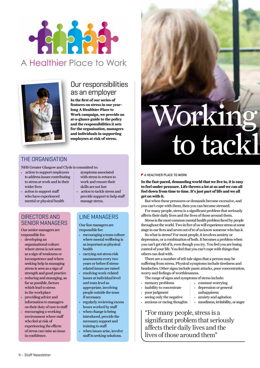



#### Our responsibilities as an employer

**In the first of our series of features on stress in our yearlong A Healthier Place to Work campaign, we provide an at-a-glance guide to the policy and the responsibilities it sets for the organisation, managers and individuals in supporting employees at risk of stress.** 

#### THE ORGANISATION

NHS Greater Glasgow and Clyde is committed to:

- action to support employees to address issues contributing to stress at work and in their wider lives
- action to support staff who have experienced mental or physical health

#### DIRECTORS AND SENIOR MANAGERS

Our senior managers are responsible for:

- developing an organisational culture where stress is not seen as a sign of weakness or incompetence and where seeking help in managing stress is seen as a sign of strength and good practice
- reducing and managing, as far as possible, factors which lead to stress in the workplace
- providing advice and information to managers on their duty of care to staff
- encouraging a working environment where staff who feel at risk of experiencing the effects of stress can raise an issue in confidence.
- symptoms associated with stress to return to work and ensure their
- skills are not lost • action to tackle stress and provide support to help staff
- manage stress.

#### LINE MANAGERS

Our line managers are responsible for:

- encouraging a team culture
- where mental wellbeing is as important as physical health
- carrying out stress risk assessments every two years or before if stressrelated issues are raised
- resolving work-related issues at individual level and team level as appropriate, involving people outside the team if necessary
- regularly reviewing excess hours worked by staff
- when change is being introduced, provide the necessary support and training to staff
- when issues arise, involve staff in seeking solutions.

# Working to tackl

#### **A HEALTHIER PLACE TO WORK**

**In the fast-paced, demanding world that we live in, it is easy to feel under pressure. Life throws a lot at us and we can all feel down from time to time. It's just part of life and we all get on with it.**

But when these pressures or demands become excessive, and you can't cope with them, then you can become stressed.

For many people, stress is a significant problem that seriously affects their daily lives and the lives of those around them.

Stress is the most common mental health problem faced by people throughout the world. Two in five of us will experience stress at some stage in our lives and seven out of 10 of us know someone who has it.

So what is stress? For most people, it involves anxiety or depression, or a combination of both. It becomes a problem when you can't get rid of it, even though you try. You feel you are losing control of your life. You feel that you can't cope with things that others can deal with.

There are a number of tell-tale signs that a person may be suffering from stress. Physical symptoms include tiredness and headaches. Other signs include panic attacks, poor concentration, worry and feelings of worthlessness.

The range of signs and symptoms of stress include:

• memory problems • inability to concentrate

• seeing only the negative  $\cdot$  anxious or racing thoughts

- depression or general
- poor judgment
- constant worrying unhappiness
- anxiety and agitation
- moodiness, irritability, or anger

"For many people, stress is a significant problem that seriously affects their daily lives and the lives of those around them"

4 – Staff Newsletter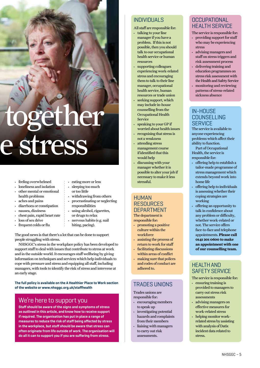# together e stress

- feeling overwhelmed
- loneliness and isolation
- other mental or emotional health problems
- aches and pains
- diarrhoea or constipation
- nausea, dizziness
- chest pain, rapid heart rate
- loss of sex drive
- frequent colds or flu
- eating more or less
- sleeping too much or too little
- withdrawing from others
- procrastinating or neglecting responsibilities
- using alcohol, cigarettes, or drugs to relax
- nervous habits (e.g. nail biting, pacing).

The good news is that there's a lot that can be done to support people struggling with stress.

NHSGGC's stress in the workplace policy has been developed to support staff to deal with issues that contribute to stress at work and in the outside world. It encourages staff wellbeing by giving information on techniques and services which help individuals to cope with pressure and stress and equipping all staff, including managers, with tools to identify the risk of stress and intervene at an early stage.

**The full policy is available on the A Healthier Place to Work section of the website or www.nhsggc.org.uk/staffhealth**

#### We're here to support you

**Staff should be aware of the signs and symptoms of stress as outlined in this article, and know how to receive support if required. The organisation has put in place a range of measures to reduce the risk of staff being affected by stress in the workplace, but staff should be aware that stress can often originate from life outside of work. The organisation will do all it can to support you if you are suffering from stress.** 

#### INDIVIDUALS

All staff are responsible for:

- talking to your line manager if you have a problem. If this is not possible, then you should talk to our occupational health service or human resources
- supporting colleagues experiencing work-related stress and encouraging them to talk to their line manager, occupational health service, human resources or trade union
- seeking support, which may include in-house counselling from the Occupational Health Service
- $\cdot$  speaking to your GP if worried about health issues
- recognising that stress is not a weakness
- attending stress management course if identified that this would help
- discussing with your manager whether it is possible to alter your job if necessary to make it less stressful.

#### HUMAN **RESOURCES DEPARTMENT**

The department is responsible for:

- promoting a positive culture within the workforce
- assisting the process of return to work for staff
- facilitating discussions within areas of conflict
- making sure that polices and codes of conduct are

#### TRADES UNIONS

Trades unions are responsible for:

adhered to.

- encouraging members to speak up
- investigating potential hazards and complaints from their members
- liaising with managers to carry out risk assessments.

#### **OCCUPATIONAL** HEALTH SERVICE

The service is responsible for:

- providing support for staff who may be experiencing stress
- advising managers and staff on stress triggers and risk assessment process
- delivering training and education programmes on stress risk assessment with the Health and Safety Service
- monitoring and reviewing patterns of stress-related sickness absence

#### IN-HOUSE **COUNSELLING SERVICE**

The service is available to anyone experiencing problems which affect their ability to function.

Part of Occupational Health, the service is responsible for:

- offering help to establish a tailor-made programme of stress management which extends beyond work into home life
- offering help to individuals is assessing whether their coping strategies are working
- offering an opportunity to talk in confidence about any problem or difficulty, whether work-related or not. The service offers face-to-face and telephone appointments. **Please call 0141 201 0600 to make an appointment with one of our counselling team.**

#### HEALTH AND SAFETY SERVICE

The service is responsible for:

- ensuring training is provided to managers to carry out stress risk assessments
- advising managers on effective measures for work-related stress
- helping monitor workrelated stress by assisting with analysis of Datix incident data related to stress.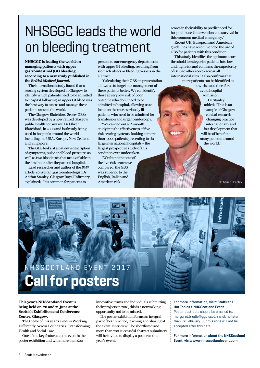### NHSGGC leads the world on bleeding treatment

#### **NHSGGC is leading the world on managing patients with upper gastrointestinal (GI) bleeding, according to a new study published in the** *British Medical Journal***.**

The international study found that a scoring system developed in Glasgow to identify which patients need to be admitted to hospital following an upper GI bleed was the best way to assess and manage these patients around the world.

The Glasgow Blatchford Score (GBS) was developed by a now retired Glasgow public health consultant, Dr Oliver Blatchford, in 2000 and is already being used in hospitals around the world including the USA, Europe, New Zealand and Singapore.

The GBS looks at a patient's description of symptoms, pulse and blood pressure, as well as two blood tests that are available in the first hour after they attend hospital.

Lead researcher and author of the *BMJ* article, consultant gastroenterologist Dr Adrian Stanley, Glasgow Royal Infirmary, explained: "It is common for patients to

present to our emergency departments with upper GI bleeding, resulting from stomach ulcers or bleeding vessels in the GI tract.

"Calculating their GBS on presentation allows us to target our management of these patients better. We can identify those at very low risk of poor outcome who don't need to be admitted to hospital, allowing us to focus on the more seriously ill patients who need to be admitted for transfusion and urgent endoscopy.

"We carried out a 12-month study into the effectiveness of five risk scoring systems, looking at more than 3,000 patients presenting to six large international hospitals – the largest prospective study of this condition ever undertaken.

"We found that out of the five risk scores we compared, the GBS was superior to the English, Italian and American risk

scores in their ability to predict need for hospital-based intervention and survival in this common medical emergency." Recent UK, European and American guidelines have recommended the use of

GBS for patients with this condition. This study identifies the optimum score threshold to categorise patients into low and high risk and confirms the superiority of GBS to other scores across all international sites. It also confirms that

more patients can be identified as low-risk and therefore

avoid hospital admission. Dr Stanley added: "This is an example of Glasgow clinical research changing practice internationally and is a development that will be of benefit to many patients around the world."

Dr Adrian Stanley

### SSCOTLAND EVENT 2017 **Call for posters**



#### **This year's NHSScotland Event is being held on 20 and 21 June at the Scottish Exhibition and Conference Centre, Glasgow.**

The theme of this year's event is Working Differently Across Boundaries: Transforming Health and Social Care.

One of the key features at the event is the poster exhibition and with more than 500

innovative teams and individuals submitting their projects in 2016, this is a networking opportunity not to be missed.

The poster exhibition forms an integral part of best practice, learning and sharing at the event. Entries will be shortlisted and more than 200 successful abstract submitters will be invited to display a poster at this year's event.

#### **For more information, visit: StaffNet > Hot Topics > NHSScotland Event**

Poster abstracts should be emailed to: margaret.brodie@ggc.scot.nhs.uk no later than 24 February. Submissions will not be accepted after this date.

**For more information about the NHSScotland Event, visit: www.nhsscotlandevent.com**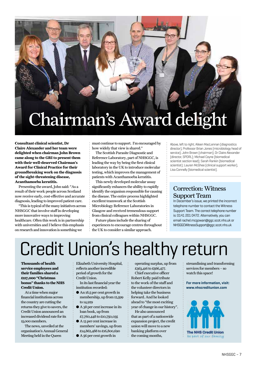# Chairman's Award delight

**Consultant clinical scientist, Dr Claire Alexander and her team were delighted when chairman John Brown came along to the GRI to present them with their well-deserved Chairman's Award for Clinical Practice for their groundbreaking work on the diagnosis of the sight-threatening disease, Acanthamoeba keratitis.**

Presenting the award, John said: "As a result of their work people across Scotland now receive early, cost-effective and accurate diagnosis, leading to improved patient care.

"This is typical of the many initiatives across NHSGGC that involve staff in developing more innovative ways to improving healthcare. Often this work is in partnership with universities and I believe this emphasis on research and innovation is something we

must continue to support. I'm encouraged by how widely that view is shared."

The Scottish Parasite Diagnostic and Reference Laboratory, part of NHSGGC, is leading the way by being the first clinical laboratory in the UK to introduce molecular testing, which improves the management of patients with Acanthamoeba keratitis.

This newly developed molecular assay significantly enhances the ability to rapidly identify the organism responsible for causing the disease. The entire process highlighted excellent teamwork at the Scottish Microbiology Reference Laboratories in Glasgow and received tremendous support from clinical colleagues within NHSGGC.

Future plans include the sharing of experiences to encourage centres throughout the UK to consider a similar approach.

Above, left to right; Aileen MacLennan (diagnostics director), Professor Brian Jones (microbiology head of service); John Brown (chairman); Dr Claire Alexander (director, SPDRL); Michael Coyne (biomedical scientist section lead); Sarah Rankin (biomedical scientist); Lauren McGhee (clinical support worker), Lisa Connelly (biomedical scientist).

#### Correction: Witness Support Team

In December's issue, we printed the incorrect telephone number to contact the Witness Support Team. The correct telephone number is: 0141 201 0472. Alternatively, you can email rachel.mcgowan@ggc.scot.nhs.uk or NHSGGCWitnessSupport@ggc.scot.nhs.uk

# Credit Union's healthy return

**Thousands of health service employees and their families shared a £117,000 "Christmas bonus" thanks to the NHS Credit Union.**

At a time when major financial institutions across the country are cutting the returns they give to savers, the Credit Union announced an increased dividend rate for its 15,000 members.

The news, unveiled at the organisation's Annual General Meeting held in the Queen

Elizabeth University Hospital, reflects another incredible period of growth for the Credit Union.

In its last financial year the institution recorded:

- An 18.5 per cent growth in membership, up from 12,599 to 14,929
- A 38 per cent increase in its loan book, up from £7,760,448 to £10,750,035
- A 13 per cent increase in
- members' savings, up from £14,862,488 to £16,800,690
- A 56 per cent growth in

operating surplus, up from £363,416 to £566,477. Chief executive officer Robert Kelly paid tribute to the work of the staff and the volunteer directors in

helping take the business forward. And he looked ahead to "the most exciting year of change in our history".

He also announced that as part of a nationwide expansion project, the credit union will move to a new banking platform over the coming months,

streamlining and transforming services for members – so watch this space!

**For more information, visit: www.nhscreditunion.com**